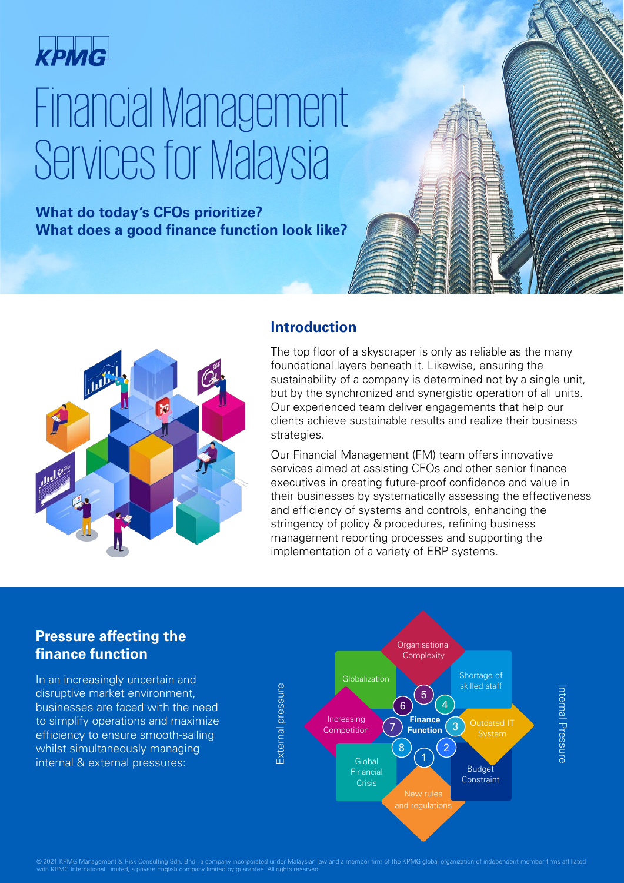

# Financial Management Services for Malaysia

## **What do today's CFOs prioritize? What does a good finance function look like?**



### **Introduction**

The top floor of a skyscraper is only as reliable as the many foundational layers beneath it. Likewise, ensuring the sustainability of a company is determined not by a single unit, but by the synchronized and synergistic operation of all units. Our experienced team deliver engagements that help our clients achieve sustainable results and realize their business strategies.

Our Financial Management (FM) team offers innovative services aimed at assisting CFOs and other senior finance executives in creating future-proof confidence and value in their businesses by systematically assessing the effectiveness and efficiency of systems and controls, enhancing the stringency of policy & procedures, refining business management reporting processes and supporting the implementation of a variety of ERP systems.

## **Pressure affecting the finance function**

In an increasingly uncertain and disruptive market environment, businesses are faced with the need to simplify operations and maximize efficiency to ensure smooth-sailing whilst simultaneously managing internal & external pressures:



© 2021 KPMG Management & Risk Consulting Sdn. Bhd., a company incorporated under Malaysian law and a member firm of the KPMG global organization of independent member firms affiliated<br>with KPMG International Limited, a pri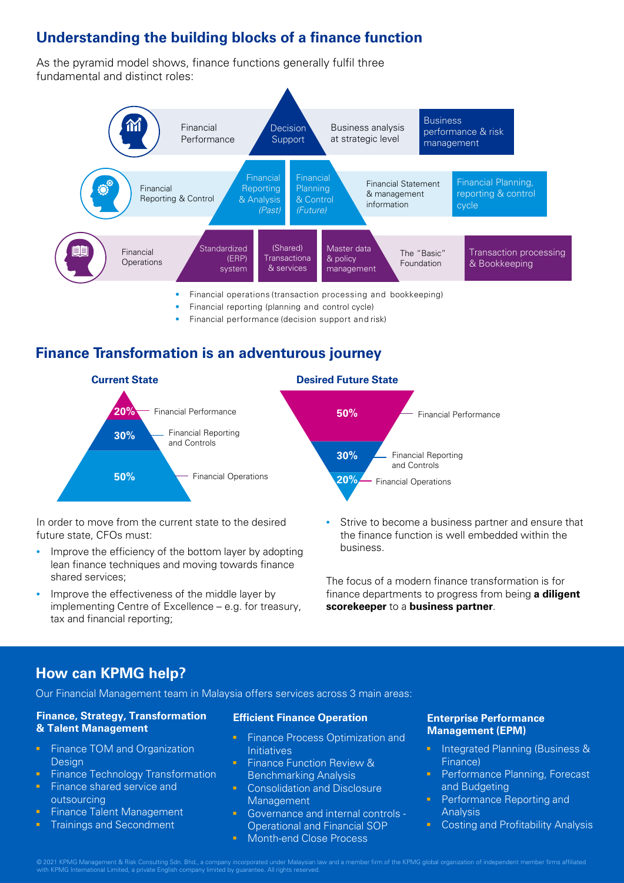# **Understanding the building blocks of a finance function**

As the pyramid model shows, finance functions generally fulfil three fundamental and distinct roles:



- Financial reporting (planning and control cycle)
- Financial performance (decision support and risk)

## **Finance Transformation is an adventurous journey**



In order to move from the current state to the desired future state, CFOs must:

- Improve the efficiency of the bottom layer by adopting lean finance techniques and moving towards finance shared services;
- Improve the effectiveness of the middle layer by implementing Centre of Excellence – e.g. for treasury, tax and financial reporting;
- Strive to become a business partner and ensure that the finance function is well embedded within the business.

The focus of a modern finance transformation is for finance departments to progress from being **a diligent scorekeeper** to a **business partner**.

## **How can KPMG help?**

Our Financial Management team in Malaysia offers services across 3 main areas:

#### **Finance, Strategy, Transformation & Talent Management**

- **Finance TOM and Organization** Design
- Finance Technology Transformation
- **Finance shared service and** outsourcing
- Finance Talent Management
- **Trainings and Secondment**

#### **Efficient Finance Operation**

- Finance Process Optimization and **Initiatives**
- Finance Function Review & Benchmarking Analysis
- **Consolidation and Disclosure** Management
- **Governance and internal controls -**Operational and Financial SOP
- **Month-end Close Process**

#### **Enterprise Performance Management (EPM)**

- **Integrated Planning (Business &** Finance)
- Performance Planning, Forecast and Budgeting
- Performance Reporting and Analysis
- Costing and Profitability Analysis